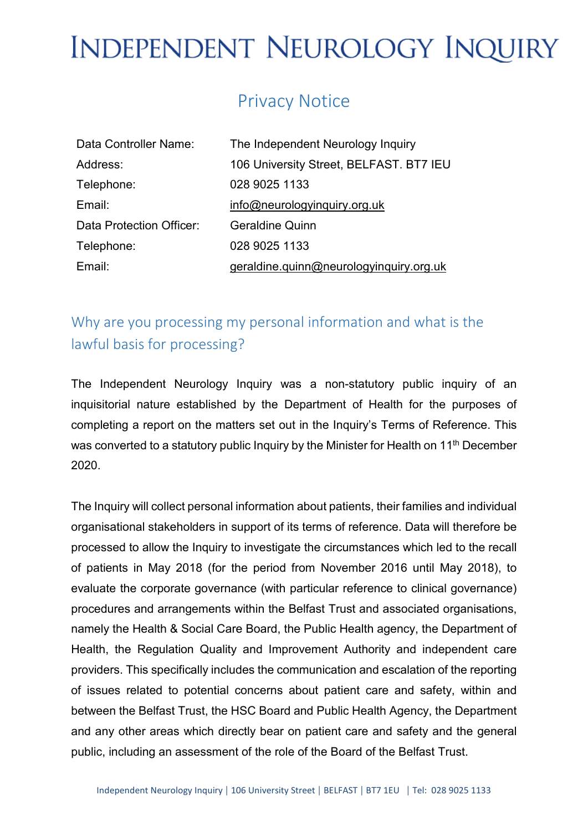## Privacy Notice

| Data Controller Name:    | The Independent Neurology Inquiry       |
|--------------------------|-----------------------------------------|
| Address:                 | 106 University Street, BELFAST. BT7 IEU |
| Telephone:               | 028 9025 1133                           |
| Email:                   | info@newologyinquiry.org.uk             |
| Data Protection Officer: | <b>Geraldine Quinn</b>                  |
| Telephone:               | 028 9025 1133                           |
| Email:                   | geraldine.quinn@neurologyinquiry.org.uk |

### Why are you processing my personal information and what is the lawful basis for processing?

The Independent Neurology Inquiry was a non-statutory public inquiry of an inquisitorial nature established by the Department of Health for the purposes of completing a report on the matters set out in the Inquiry's Terms of Reference. This was converted to a statutory public Inquiry by the Minister for Health on 11<sup>th</sup> December 2020.

The Inquiry will collect personal information about patients, their families and individual organisational stakeholders in support of its terms of reference. Data will therefore be processed to allow the Inquiry to investigate the circumstances which led to the recall of patients in May 2018 (for the period from November 2016 until May 2018), to evaluate the corporate governance (with particular reference to clinical governance) procedures and arrangements within the Belfast Trust and associated organisations, namely the Health & Social Care Board, the Public Health agency, the Department of Health, the Regulation Quality and Improvement Authority and independent care providers. This specifically includes the communication and escalation of the reporting of issues related to potential concerns about patient care and safety, within and between the Belfast Trust, the HSC Board and Public Health Agency, the Department and any other areas which directly bear on patient care and safety and the general public, including an assessment of the role of the Board of the Belfast Trust.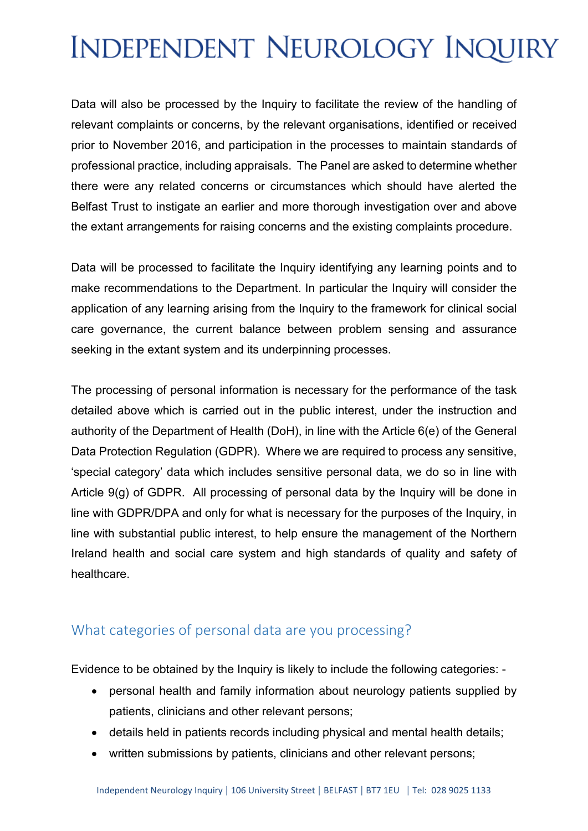Data will also be processed by the Inquiry to facilitate the review of the handling of relevant complaints or concerns, by the relevant organisations, identified or received prior to November 2016, and participation in the processes to maintain standards of professional practice, including appraisals. The Panel are asked to determine whether there were any related concerns or circumstances which should have alerted the Belfast Trust to instigate an earlier and more thorough investigation over and above the extant arrangements for raising concerns and the existing complaints procedure.

Data will be processed to facilitate the Inquiry identifying any learning points and to make recommendations to the Department. In particular the Inquiry will consider the application of any learning arising from the Inquiry to the framework for clinical social care governance, the current balance between problem sensing and assurance seeking in the extant system and its underpinning processes.

The processing of personal information is necessary for the performance of the task detailed above which is carried out in the public interest, under the instruction and authority of the Department of Health (DoH), in line with the Article 6(e) of the General Data Protection Regulation (GDPR). Where we are required to process any sensitive, 'special category' data which includes sensitive personal data, we do so in line with Article 9(g) of GDPR. All processing of personal data by the Inquiry will be done in line with GDPR/DPA and only for what is necessary for the purposes of the Inquiry, in line with substantial public interest, to help ensure the management of the Northern Ireland health and social care system and high standards of quality and safety of healthcare.

### What categories of personal data are you processing?

Evidence to be obtained by the Inquiry is likely to include the following categories: -

- personal health and family information about neurology patients supplied by patients, clinicians and other relevant persons;
- details held in patients records including physical and mental health details;
- written submissions by patients, clinicians and other relevant persons;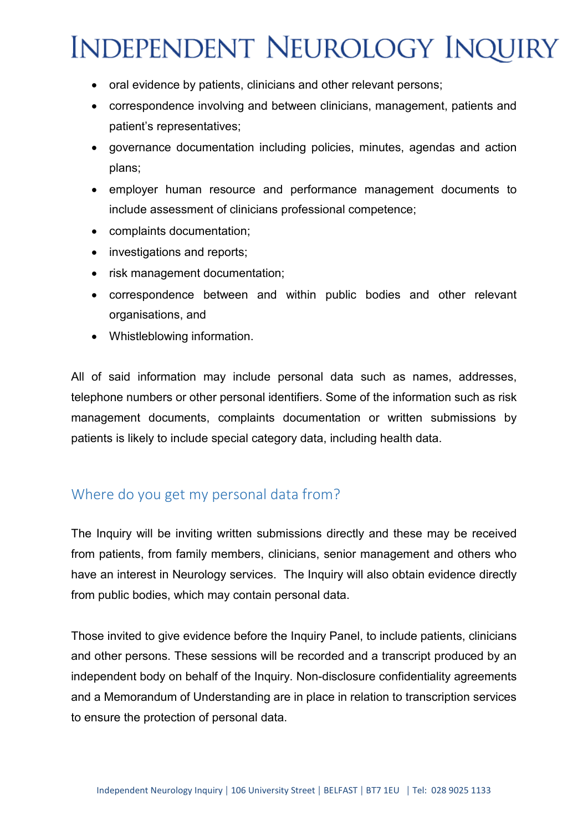- oral evidence by patients, clinicians and other relevant persons;
- correspondence involving and between clinicians, management, patients and patient's representatives;
- governance documentation including policies, minutes, agendas and action plans;
- employer human resource and performance management documents to include assessment of clinicians professional competence;
- complaints documentation;
- investigations and reports;
- risk management documentation;
- correspondence between and within public bodies and other relevant organisations, and
- Whistleblowing information.

All of said information may include personal data such as names, addresses, telephone numbers or other personal identifiers. Some of the information such as risk management documents, complaints documentation or written submissions by patients is likely to include special category data, including health data.

#### Where do you get my personal data from?

The Inquiry will be inviting written submissions directly and these may be received from patients, from family members, clinicians, senior management and others who have an interest in Neurology services. The Inquiry will also obtain evidence directly from public bodies, which may contain personal data.

Those invited to give evidence before the Inquiry Panel, to include patients, clinicians and other persons. These sessions will be recorded and a transcript produced by an independent body on behalf of the Inquiry. Non-disclosure confidentiality agreements and a Memorandum of Understanding are in place in relation to transcription services to ensure the protection of personal data.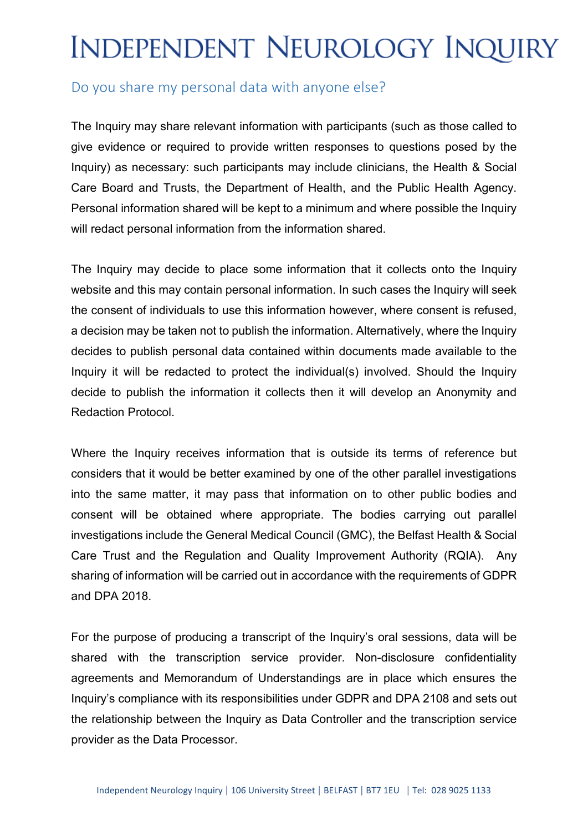#### Do you share my personal data with anyone else?

The Inquiry may share relevant information with participants (such as those called to give evidence or required to provide written responses to questions posed by the Inquiry) as necessary: such participants may include clinicians, the Health & Social Care Board and Trusts, the Department of Health, and the Public Health Agency. Personal information shared will be kept to a minimum and where possible the Inquiry will redact personal information from the information shared.

The Inquiry may decide to place some information that it collects onto the Inquiry website and this may contain personal information. In such cases the Inquiry will seek the consent of individuals to use this information however, where consent is refused, a decision may be taken not to publish the information. Alternatively, where the Inquiry decides to publish personal data contained within documents made available to the Inquiry it will be redacted to protect the individual(s) involved. Should the Inquiry decide to publish the information it collects then it will develop an Anonymity and Redaction Protocol.

Where the Inquiry receives information that is outside its terms of reference but considers that it would be better examined by one of the other parallel investigations into the same matter, it may pass that information on to other public bodies and consent will be obtained where appropriate. The bodies carrying out parallel investigations include the General Medical Council (GMC), the Belfast Health & Social Care Trust and the Regulation and Quality Improvement Authority (RQIA). Any sharing of information will be carried out in accordance with the requirements of GDPR and DPA 2018.

For the purpose of producing a transcript of the Inquiry's oral sessions, data will be shared with the transcription service provider. Non-disclosure confidentiality agreements and Memorandum of Understandings are in place which ensures the Inquiry's compliance with its responsibilities under GDPR and DPA 2108 and sets out the relationship between the Inquiry as Data Controller and the transcription service provider as the Data Processor.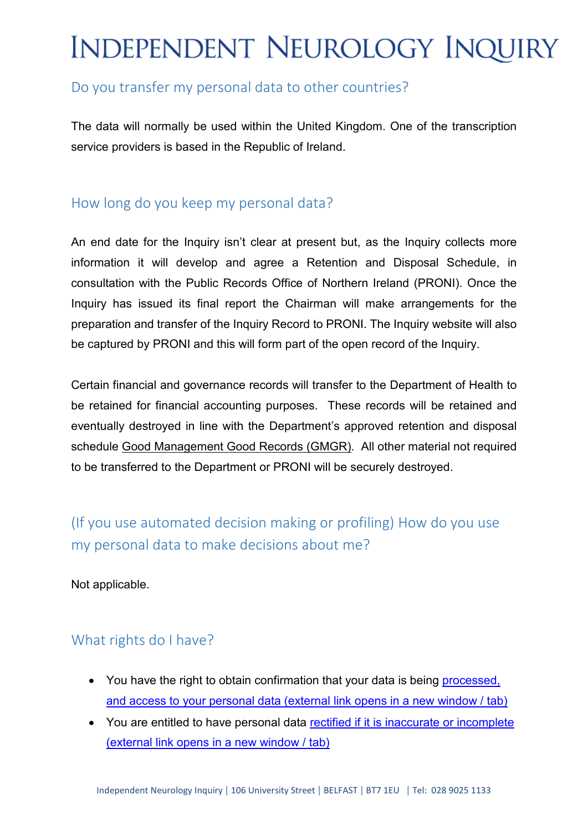### Do you transfer my personal data to other countries?

The data will normally be used within the United Kingdom. One of the transcription service providers is based in the Republic of Ireland.

#### How long do you keep my personal data?

An end date for the Inquiry isn't clear at present but, as the Inquiry collects more information it will develop and agree a Retention and Disposal Schedule, in consultation with the Public Records Office of Northern Ireland (PRONI). Once the Inquiry has issued its final report the Chairman will make arrangements for the preparation and transfer of the Inquiry Record to PRONI. The Inquiry website will also be captured by PRONI and this will form part of the open record of the Inquiry.

Certain financial and governance records will transfer to the Department of Health to be retained for financial accounting purposes. These records will be retained and eventually destroyed in line with the Department's approved retention and disposal schedule [Good Management Good Records \(GMGR\).](https://www.health-ni.gov.uk/topics/good-management-good-records) All other material not required to be transferred to the Department or PRONI will be securely destroyed.

(If you use automated decision making or profiling) How do you use my personal data to make decisions about me?

Not applicable.

### What rights do I have?

- You have the right to obtain confirmation that your data is being processed, [and access to your personal data](https://ico.org.uk/for-organisations/guide-to-the-general-data-protection-regulation-gdpr/individual-rights/right-of-access/) (external link opens in a new window / tab)
- You are entitled to have personal data [rectified if it is inaccurate or incomplete](https://ico.org.uk/for-organisations/guide-to-the-general-data-protection-regulation-gdpr/individual-rights/right-to-rectification/) [\(external link opens in a new window / tab\)](https://ico.org.uk/for-organisations/guide-to-the-general-data-protection-regulation-gdpr/individual-rights/right-to-rectification/)